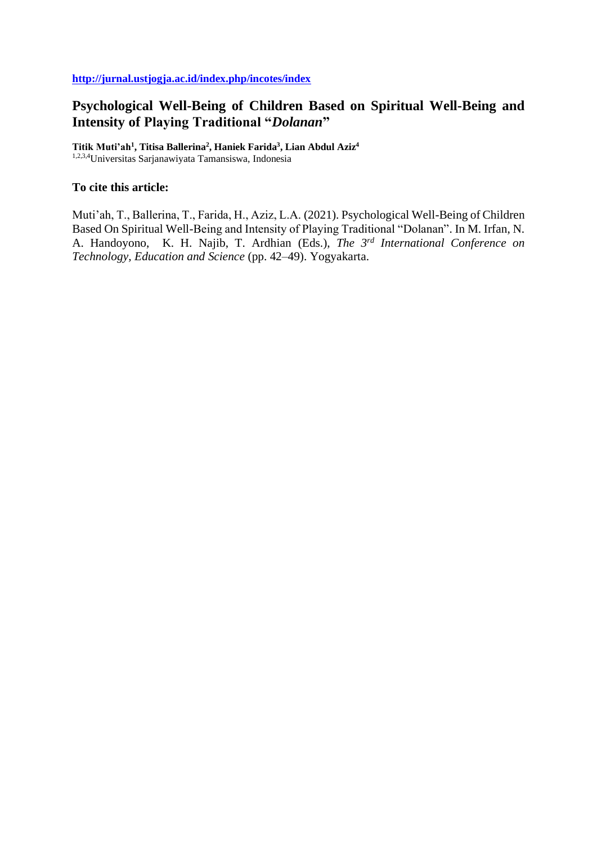# **Psychological Well-Being of Children Based on Spiritual Well-Being and Intensity of Playing Traditional "***Dolanan***"**

**Titik Muti'ah<sup>1</sup> , Titisa Ballerina<sup>2</sup> , Haniek Farida<sup>3</sup> , Lian Abdul Aziz<sup>4</sup>** 1,2,3,4Universitas Sarjanawiyata Tamansiswa, Indonesia

### **To cite this article:**

Muti'ah, T., Ballerina, T., Farida, H., Aziz, L.A. (2021). Psychological Well-Being of Children Based On Spiritual Well-Being and Intensity of Playing Traditional "Dolanan". In M. Irfan, N. A. Handoyono, K. H. Najib, T. Ardhian (Eds.), *The 3rd International Conference on Technology, Education and Science* (pp. 42–49). Yogyakarta.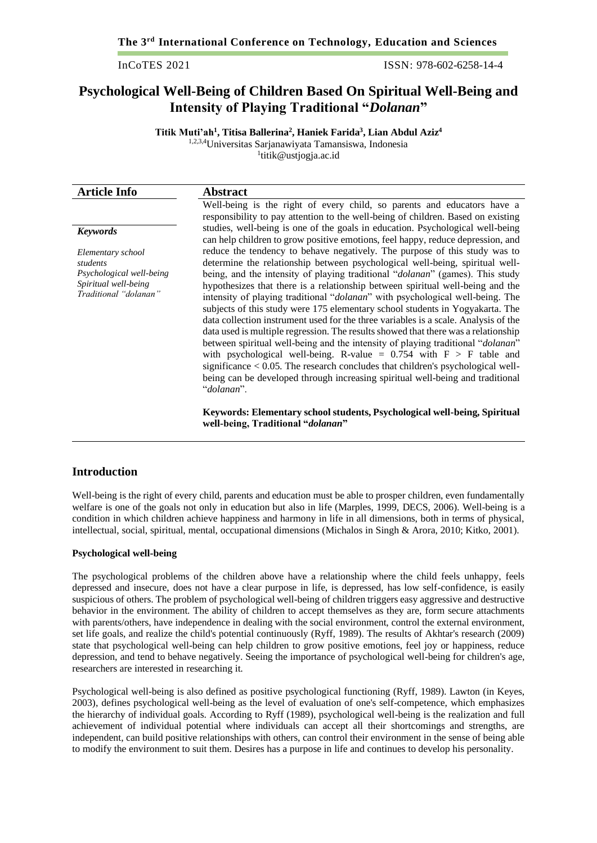InCoTES 2021 ISSN: 978-602-6258-14-4

## **Psychological Well-Being of Children Based On Spiritual Well-Being and Intensity of Playing Traditional "***Dolanan***"**

**Titik Muti'ah<sup>1</sup> , Titisa Ballerina<sup>2</sup> , Haniek Farida<sup>3</sup> , Lian Abdul Aziz<sup>4</sup>** 1,2,3,4Universitas Sarjanawiyata Tamansiswa, Indonesia

1 titik@ustjogja.ac.id

| <b>Article Info</b>                                                       | <b>Abstract</b>                                                                                                                                                                                                                                                                                                                                                                                                                                                                                                                                                                                                                                                                                                                                                                                                                                                             |
|---------------------------------------------------------------------------|-----------------------------------------------------------------------------------------------------------------------------------------------------------------------------------------------------------------------------------------------------------------------------------------------------------------------------------------------------------------------------------------------------------------------------------------------------------------------------------------------------------------------------------------------------------------------------------------------------------------------------------------------------------------------------------------------------------------------------------------------------------------------------------------------------------------------------------------------------------------------------|
|                                                                           | Well-being is the right of every child, so parents and educators have a<br>responsibility to pay attention to the well-being of children. Based on existing                                                                                                                                                                                                                                                                                                                                                                                                                                                                                                                                                                                                                                                                                                                 |
| <b>Keywords</b>                                                           | studies, well-being is one of the goals in education. Psychological well-being<br>can help children to grow positive emotions, feel happy, reduce depression, and                                                                                                                                                                                                                                                                                                                                                                                                                                                                                                                                                                                                                                                                                                           |
| Elementary school<br>students                                             | reduce the tendency to behave negatively. The purpose of this study was to<br>determine the relationship between psychological well-being, spiritual well-                                                                                                                                                                                                                                                                                                                                                                                                                                                                                                                                                                                                                                                                                                                  |
| Psychological well-being<br>Spiritual well-being<br>Traditional "dolanan" | being, and the intensity of playing traditional "dolanan" (games). This study<br>hypothesizes that there is a relationship between spiritual well-being and the<br>intensity of playing traditional "dolanan" with psychological well-being. The<br>subjects of this study were 175 elementary school students in Yogyakarta. The<br>data collection instrument used for the three variables is a scale. Analysis of the<br>data used is multiple regression. The results showed that there was a relationship<br>between spiritual well-being and the intensity of playing traditional " <i>dolanan</i> "<br>with psychological well-being. R-value = $0.754$ with $F > F$ table and<br>significance $< 0.05$ . The research concludes that children's psychological well-<br>being can be developed through increasing spiritual well-being and traditional<br>"dolanan". |
|                                                                           | Keywords: Elementary school students, Psychological well-being, Spiritual                                                                                                                                                                                                                                                                                                                                                                                                                                                                                                                                                                                                                                                                                                                                                                                                   |

**well-being, Traditional "***dolanan***"**

#### **Introduction**

Well-being is the right of every child, parents and education must be able to prosper children, even fundamentally welfare is one of the goals not only in education but also in life (Marples, 1999, DECS, 2006). Well-being is a condition in which children achieve happiness and harmony in life in all dimensions, both in terms of physical, intellectual, social, spiritual, mental, occupational dimensions (Michalos in Singh & Arora, 2010; Kitko, 2001).

#### **Psychological well-being**

The psychological problems of the children above have a relationship where the child feels unhappy, feels depressed and insecure, does not have a clear purpose in life, is depressed, has low self-confidence, is easily suspicious of others. The problem of psychological well-being of children triggers easy aggressive and destructive behavior in the environment. The ability of children to accept themselves as they are, form secure attachments with parents/others, have independence in dealing with the social environment, control the external environment, set life goals, and realize the child's potential continuously (Ryff, 1989). The results of Akhtar's research (2009) state that psychological well-being can help children to grow positive emotions, feel joy or happiness, reduce depression, and tend to behave negatively. Seeing the importance of psychological well-being for children's age, researchers are interested in researching it.

Psychological well-being is also defined as positive psychological functioning (Ryff, 1989). Lawton (in Keyes, 2003), defines psychological well-being as the level of evaluation of one's self-competence, which emphasizes the hierarchy of individual goals. According to Ryff (1989), psychological well-being is the realization and full achievement of individual potential where individuals can accept all their shortcomings and strengths, are independent, can build positive relationships with others, can control their environment in the sense of being able to modify the environment to suit them. Desires has a purpose in life and continues to develop his personality.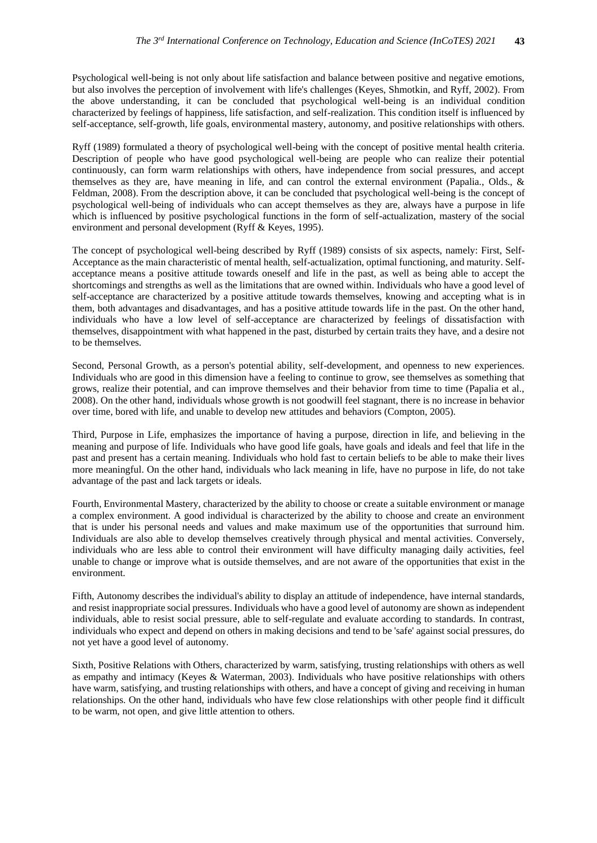Psychological well-being is not only about life satisfaction and balance between positive and negative emotions, but also involves the perception of involvement with life's challenges (Keyes, Shmotkin, and Ryff, 2002). From the above understanding, it can be concluded that psychological well-being is an individual condition characterized by feelings of happiness, life satisfaction, and self-realization. This condition itself is influenced by self-acceptance, self-growth, life goals, environmental mastery, autonomy, and positive relationships with others.

Ryff (1989) formulated a theory of psychological well-being with the concept of positive mental health criteria. Description of people who have good psychological well-being are people who can realize their potential continuously, can form warm relationships with others, have independence from social pressures, and accept themselves as they are, have meaning in life, and can control the external environment (Papalia., Olds., & Feldman, 2008). From the description above, it can be concluded that psychological well-being is the concept of psychological well-being of individuals who can accept themselves as they are, always have a purpose in life which is influenced by positive psychological functions in the form of self-actualization, mastery of the social environment and personal development (Ryff & Keyes, 1995).

The concept of psychological well-being described by Ryff (1989) consists of six aspects, namely: First, Self-Acceptance as the main characteristic of mental health, self-actualization, optimal functioning, and maturity. Selfacceptance means a positive attitude towards oneself and life in the past, as well as being able to accept the shortcomings and strengths as well as the limitations that are owned within. Individuals who have a good level of self-acceptance are characterized by a positive attitude towards themselves, knowing and accepting what is in them, both advantages and disadvantages, and has a positive attitude towards life in the past. On the other hand, individuals who have a low level of self-acceptance are characterized by feelings of dissatisfaction with themselves, disappointment with what happened in the past, disturbed by certain traits they have, and a desire not to be themselves.

Second, Personal Growth, as a person's potential ability, self-development, and openness to new experiences. Individuals who are good in this dimension have a feeling to continue to grow, see themselves as something that grows, realize their potential, and can improve themselves and their behavior from time to time (Papalia et al., 2008). On the other hand, individuals whose growth is not goodwill feel stagnant, there is no increase in behavior over time, bored with life, and unable to develop new attitudes and behaviors (Compton, 2005).

Third, Purpose in Life, emphasizes the importance of having a purpose, direction in life, and believing in the meaning and purpose of life. Individuals who have good life goals, have goals and ideals and feel that life in the past and present has a certain meaning. Individuals who hold fast to certain beliefs to be able to make their lives more meaningful. On the other hand, individuals who lack meaning in life, have no purpose in life, do not take advantage of the past and lack targets or ideals.

Fourth, Environmental Mastery, characterized by the ability to choose or create a suitable environment or manage a complex environment. A good individual is characterized by the ability to choose and create an environment that is under his personal needs and values and make maximum use of the opportunities that surround him. Individuals are also able to develop themselves creatively through physical and mental activities. Conversely, individuals who are less able to control their environment will have difficulty managing daily activities, feel unable to change or improve what is outside themselves, and are not aware of the opportunities that exist in the environment.

Fifth, Autonomy describes the individual's ability to display an attitude of independence, have internal standards, and resist inappropriate social pressures. Individuals who have a good level of autonomy are shown as independent individuals, able to resist social pressure, able to self-regulate and evaluate according to standards. In contrast, individuals who expect and depend on others in making decisions and tend to be 'safe' against social pressures, do not yet have a good level of autonomy.

Sixth, Positive Relations with Others, characterized by warm, satisfying, trusting relationships with others as well as empathy and intimacy (Keyes & Waterman, 2003). Individuals who have positive relationships with others have warm, satisfying, and trusting relationships with others, and have a concept of giving and receiving in human relationships. On the other hand, individuals who have few close relationships with other people find it difficult to be warm, not open, and give little attention to others.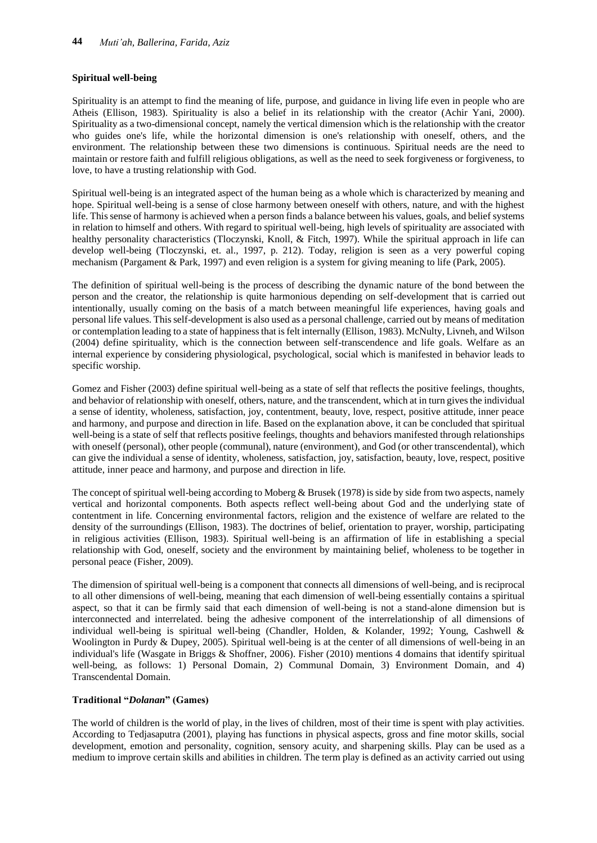#### **Spiritual well-being**

Spirituality is an attempt to find the meaning of life, purpose, and guidance in living life even in people who are Atheis (Ellison, 1983). Spirituality is also a belief in its relationship with the creator (Achir Yani, 2000). Spirituality as a two-dimensional concept, namely the vertical dimension which is the relationship with the creator who guides one's life, while the horizontal dimension is one's relationship with oneself, others, and the environment. The relationship between these two dimensions is continuous. Spiritual needs are the need to maintain or restore faith and fulfill religious obligations, as well as the need to seek forgiveness or forgiveness, to love, to have a trusting relationship with God.

Spiritual well-being is an integrated aspect of the human being as a whole which is characterized by meaning and hope. Spiritual well-being is a sense of close harmony between oneself with others, nature, and with the highest life. This sense of harmony is achieved when a person finds a balance between his values, goals, and belief systems in relation to himself and others. With regard to spiritual well-being, high levels of spirituality are associated with healthy personality characteristics (Tloczynski, Knoll, & Fitch, 1997). While the spiritual approach in life can develop well-being (Tloczynski, et. al., 1997, p. 212). Today, religion is seen as a very powerful coping mechanism (Pargament & Park, 1997) and even religion is a system for giving meaning to life (Park, 2005).

The definition of spiritual well-being is the process of describing the dynamic nature of the bond between the person and the creator, the relationship is quite harmonious depending on self-development that is carried out intentionally, usually coming on the basis of a match between meaningful life experiences, having goals and personal life values. This self-development is also used as a personal challenge, carried out by means of meditation or contemplation leading to a state of happiness that is felt internally (Ellison, 1983). McNulty, Livneh, and Wilson (2004) define spirituality, which is the connection between self-transcendence and life goals. Welfare as an internal experience by considering physiological, psychological, social which is manifested in behavior leads to specific worship.

Gomez and Fisher (2003) define spiritual well-being as a state of self that reflects the positive feelings, thoughts, and behavior of relationship with oneself, others, nature, and the transcendent, which at in turn gives the individual a sense of identity, wholeness, satisfaction, joy, contentment, beauty, love, respect, positive attitude, inner peace and harmony, and purpose and direction in life. Based on the explanation above, it can be concluded that spiritual well-being is a state of self that reflects positive feelings, thoughts and behaviors manifested through relationships with oneself (personal), other people (communal), nature (environment), and God (or other transcendental), which can give the individual a sense of identity, wholeness, satisfaction, joy, satisfaction, beauty, love, respect, positive attitude, inner peace and harmony, and purpose and direction in life.

The concept of spiritual well-being according to Moberg & Brusek (1978) is side by side from two aspects, namely vertical and horizontal components. Both aspects reflect well-being about God and the underlying state of contentment in life. Concerning environmental factors, religion and the existence of welfare are related to the density of the surroundings (Ellison, 1983). The doctrines of belief, orientation to prayer, worship, participating in religious activities (Ellison, 1983). Spiritual well-being is an affirmation of life in establishing a special relationship with God, oneself, society and the environment by maintaining belief, wholeness to be together in personal peace (Fisher, 2009).

The dimension of spiritual well-being is a component that connects all dimensions of well-being, and is reciprocal to all other dimensions of well-being, meaning that each dimension of well-being essentially contains a spiritual aspect, so that it can be firmly said that each dimension of well-being is not a stand-alone dimension but is interconnected and interrelated. being the adhesive component of the interrelationship of all dimensions of individual well-being is spiritual well-being (Chandler, Holden, & Kolander, 1992; Young, Cashwell & Woolington in Purdy & Dupey, 2005). Spiritual well-being is at the center of all dimensions of well-being in an individual's life (Wasgate in Briggs & Shoffner, 2006). Fisher (2010) mentions 4 domains that identify spiritual well-being, as follows: 1) Personal Domain, 2) Communal Domain, 3) Environment Domain, and 4) Transcendental Domain.

#### **Traditional "***Dolanan***" (Games)**

The world of children is the world of play, in the lives of children, most of their time is spent with play activities. According to Tedjasaputra (2001), playing has functions in physical aspects, gross and fine motor skills, social development, emotion and personality, cognition, sensory acuity, and sharpening skills. Play can be used as a medium to improve certain skills and abilities in children. The term play is defined as an activity carried out using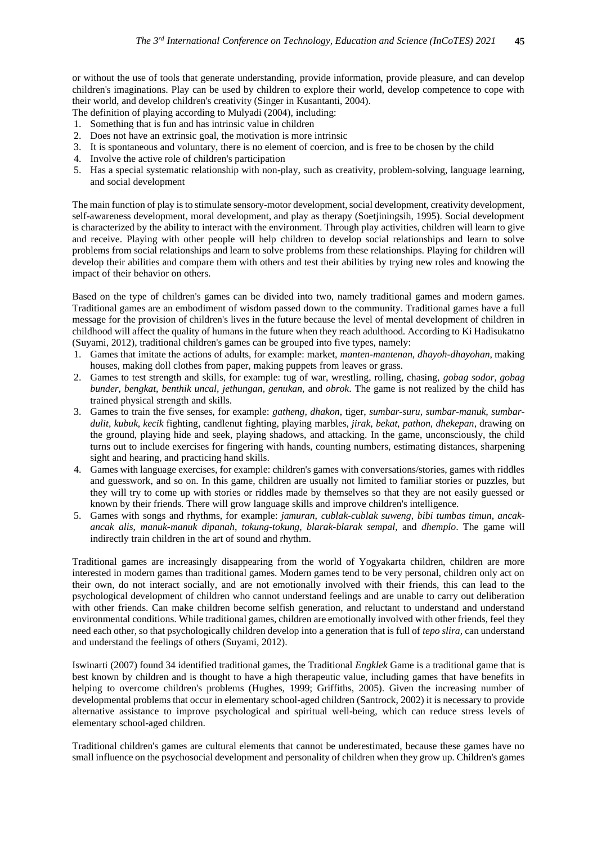or without the use of tools that generate understanding, provide information, provide pleasure, and can develop children's imaginations. Play can be used by children to explore their world, develop competence to cope with their world, and develop children's creativity (Singer in Kusantanti, 2004).

The definition of playing according to Mulyadi (2004), including:

- 1. Something that is fun and has intrinsic value in children
- 2. Does not have an extrinsic goal, the motivation is more intrinsic
- 3. It is spontaneous and voluntary, there is no element of coercion, and is free to be chosen by the child
- 4. Involve the active role of children's participation
- 5. Has a special systematic relationship with non-play, such as creativity, problem-solving, language learning, and social development

The main function of play is to stimulate sensory-motor development, social development, creativity development, self-awareness development, moral development, and play as therapy (Soetjiningsih, 1995). Social development is characterized by the ability to interact with the environment. Through play activities, children will learn to give and receive. Playing with other people will help children to develop social relationships and learn to solve problems from social relationships and learn to solve problems from these relationships. Playing for children will develop their abilities and compare them with others and test their abilities by trying new roles and knowing the impact of their behavior on others.

Based on the type of children's games can be divided into two, namely traditional games and modern games. Traditional games are an embodiment of wisdom passed down to the community. Traditional games have a full message for the provision of children's lives in the future because the level of mental development of children in childhood will affect the quality of humans in the future when they reach adulthood. According to Ki Hadisukatno (Suyami, 2012), traditional children's games can be grouped into five types, namely:

- 1. Games that imitate the actions of adults, for example: market, *manten-mantenan, dhayoh-dhayohan*, making houses, making doll clothes from paper, making puppets from leaves or grass.
- 2. Games to test strength and skills, for example: tug of war, wrestling, rolling, chasing, *gobag sodor, gobag bunder, bengkat, benthik uncal, jethungan, genukan,* and *obrok*. The game is not realized by the child has trained physical strength and skills.
- 3. Games to train the five senses, for example: *gatheng, dhakon*, tiger, *sumbar-suru, sumbar-manuk, sumbardulit, kubuk, kecik* fighting, candlenut fighting, playing marbles, *jirak, bekat, pathon, dhekepan*, drawing on the ground, playing hide and seek, playing shadows, and attacking. In the game, unconsciously, the child turns out to include exercises for fingering with hands, counting numbers, estimating distances, sharpening sight and hearing, and practicing hand skills.
- 4. Games with language exercises, for example: children's games with conversations/stories, games with riddles and guesswork, and so on. In this game, children are usually not limited to familiar stories or puzzles, but they will try to come up with stories or riddles made by themselves so that they are not easily guessed or known by their friends. There will grow language skills and improve children's intelligence.
- 5. Games with songs and rhythms, for example: *jamuran*, *cublak-cublak suweng*, *bibi tumbas timun*, *ancakancak alis*, *manuk-manuk dipanah*, *tokung-tokung*, *blarak-blarak sempal*, and *dhemplo*. The game will indirectly train children in the art of sound and rhythm.

Traditional games are increasingly disappearing from the world of Yogyakarta children, children are more interested in modern games than traditional games. Modern games tend to be very personal, children only act on their own, do not interact socially, and are not emotionally involved with their friends, this can lead to the psychological development of children who cannot understand feelings and are unable to carry out deliberation with other friends. Can make children become selfish generation, and reluctant to understand and understand environmental conditions. While traditional games, children are emotionally involved with other friends, feel they need each other, so that psychologically children develop into a generation that is full of *tepo slira,* can understand and understand the feelings of others (Suyami, 2012).

Iswinarti (2007) found 34 identified traditional games, the Traditional *Engklek* Game is a traditional game that is best known by children and is thought to have a high therapeutic value, including games that have benefits in helping to overcome children's problems (Hughes, 1999; Griffiths, 2005). Given the increasing number of developmental problems that occur in elementary school-aged children (Santrock, 2002) it is necessary to provide alternative assistance to improve psychological and spiritual well-being, which can reduce stress levels of elementary school-aged children.

Traditional children's games are cultural elements that cannot be underestimated, because these games have no small influence on the psychosocial development and personality of children when they grow up. Children's games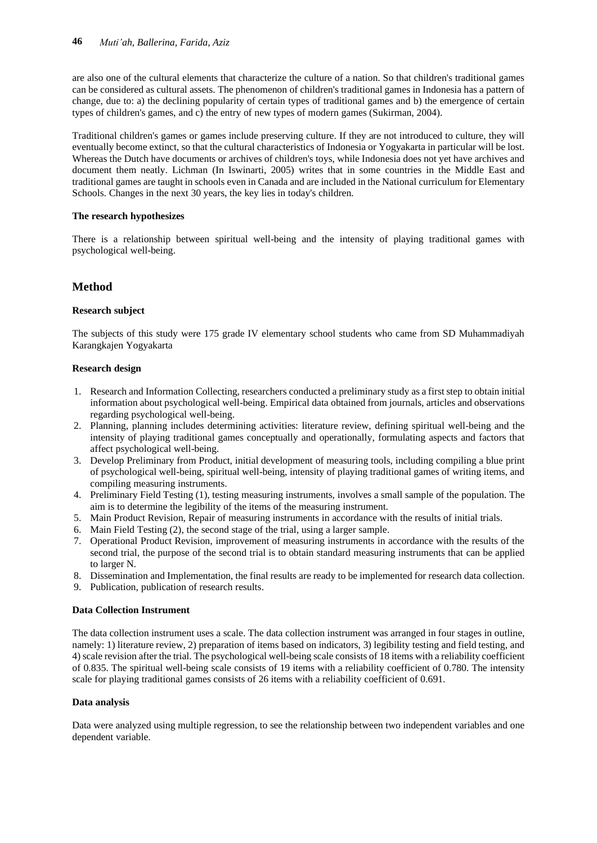are also one of the cultural elements that characterize the culture of a nation. So that children's traditional games can be considered as cultural assets. The phenomenon of children's traditional games in Indonesia has a pattern of change, due to: a) the declining popularity of certain types of traditional games and b) the emergence of certain types of children's games, and c) the entry of new types of modern games (Sukirman, 2004).

Traditional children's games or games include preserving culture. If they are not introduced to culture, they will eventually become extinct, so that the cultural characteristics of Indonesia or Yogyakarta in particular will be lost. Whereas the Dutch have documents or archives of children's toys, while Indonesia does not yet have archives and document them neatly. Lichman (In Iswinarti, 2005) writes that in some countries in the Middle East and traditional games are taught in schools even in Canada and are included in the National curriculum for Elementary Schools. Changes in the next 30 years, the key lies in today's children.

#### **The research hypothesizes**

There is a relationship between spiritual well-being and the intensity of playing traditional games with psychological well-being.

## **Method**

#### **Research subject**

The subjects of this study were 175 grade IV elementary school students who came from SD Muhammadiyah Karangkajen Yogyakarta

#### **Research design**

- 1. Research and Information Collecting, researchers conducted a preliminary study as a first step to obtain initial information about psychological well-being. Empirical data obtained from journals, articles and observations regarding psychological well-being.
- 2. Planning, planning includes determining activities: literature review, defining spiritual well-being and the intensity of playing traditional games conceptually and operationally, formulating aspects and factors that affect psychological well-being.
- 3. Develop Preliminary from Product, initial development of measuring tools, including compiling a blue print of psychological well-being, spiritual well-being, intensity of playing traditional games of writing items, and compiling measuring instruments.
- 4. Preliminary Field Testing (1), testing measuring instruments, involves a small sample of the population. The aim is to determine the legibility of the items of the measuring instrument.
- 5. Main Product Revision, Repair of measuring instruments in accordance with the results of initial trials.
- 6. Main Field Testing (2), the second stage of the trial, using a larger sample.
- 7. Operational Product Revision, improvement of measuring instruments in accordance with the results of the second trial, the purpose of the second trial is to obtain standard measuring instruments that can be applied to larger N.
- 8. Dissemination and Implementation, the final results are ready to be implemented for research data collection.
- 9. Publication, publication of research results.

#### **Data Collection Instrument**

The data collection instrument uses a scale. The data collection instrument was arranged in four stages in outline, namely: 1) literature review, 2) preparation of items based on indicators, 3) legibility testing and field testing, and 4) scale revision after the trial. The psychological well-being scale consists of 18 items with a reliability coefficient of 0.835. The spiritual well-being scale consists of 19 items with a reliability coefficient of 0.780. The intensity scale for playing traditional games consists of 26 items with a reliability coefficient of 0.691.

#### **Data analysis**

Data were analyzed using multiple regression, to see the relationship between two independent variables and one dependent variable.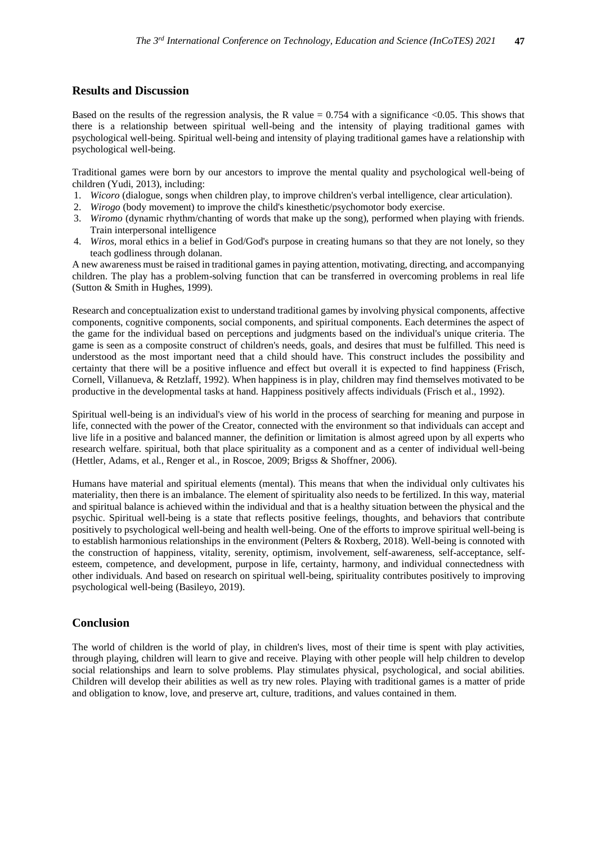#### **Results and Discussion**

Based on the results of the regression analysis, the R value  $= 0.754$  with a significance <0.05. This shows that there is a relationship between spiritual well-being and the intensity of playing traditional games with psychological well-being. Spiritual well-being and intensity of playing traditional games have a relationship with psychological well-being.

Traditional games were born by our ancestors to improve the mental quality and psychological well-being of children (Yudi, 2013), including:

- 1. *Wicoro* (dialogue, songs when children play, to improve children's verbal intelligence, clear articulation).
- 2. *Wirogo* (body movement) to improve the child's kinesthetic/psychomotor body exercise.
- 3. *Wiromo* (dynamic rhythm/chanting of words that make up the song), performed when playing with friends. Train interpersonal intelligence
- 4. *Wiros,* moral ethics in a belief in God/God's purpose in creating humans so that they are not lonely, so they teach godliness through dolanan.

A new awareness must be raised in traditional games in paying attention, motivating, directing, and accompanying children. The play has a problem-solving function that can be transferred in overcoming problems in real life (Sutton & Smith in Hughes, 1999).

Research and conceptualization exist to understand traditional games by involving physical components, affective components, cognitive components, social components, and spiritual components. Each determines the aspect of the game for the individual based on perceptions and judgments based on the individual's unique criteria. The game is seen as a composite construct of children's needs, goals, and desires that must be fulfilled. This need is understood as the most important need that a child should have. This construct includes the possibility and certainty that there will be a positive influence and effect but overall it is expected to find happiness (Frisch, Cornell, Villanueva, & Retzlaff, 1992). When happiness is in play, children may find themselves motivated to be productive in the developmental tasks at hand. Happiness positively affects individuals (Frisch et al., 1992).

Spiritual well-being is an individual's view of his world in the process of searching for meaning and purpose in life, connected with the power of the Creator, connected with the environment so that individuals can accept and live life in a positive and balanced manner, the definition or limitation is almost agreed upon by all experts who research welfare. spiritual, both that place spirituality as a component and as a center of individual well-being (Hettler, Adams, et al., Renger et al., in Roscoe, 2009; Brigss & Shoffner, 2006).

Humans have material and spiritual elements (mental). This means that when the individual only cultivates his materiality, then there is an imbalance. The element of spirituality also needs to be fertilized. In this way, material and spiritual balance is achieved within the individual and that is a healthy situation between the physical and the psychic. Spiritual well-being is a state that reflects positive feelings, thoughts, and behaviors that contribute positively to psychological well-being and health well-being. One of the efforts to improve spiritual well-being is to establish harmonious relationships in the environment (Pelters & Roxberg, 2018). Well-being is connoted with the construction of happiness, vitality, serenity, optimism, involvement, self-awareness, self-acceptance, selfesteem, competence, and development, purpose in life, certainty, harmony, and individual connectedness with other individuals. And based on research on spiritual well-being, spirituality contributes positively to improving psychological well-being (Basileyo, 2019).

#### **Conclusion**

The world of children is the world of play, in children's lives, most of their time is spent with play activities, through playing, children will learn to give and receive. Playing with other people will help children to develop social relationships and learn to solve problems. Play stimulates physical, psychological, and social abilities. Children will develop their abilities as well as try new roles. Playing with traditional games is a matter of pride and obligation to know, love, and preserve art, culture, traditions, and values contained in them.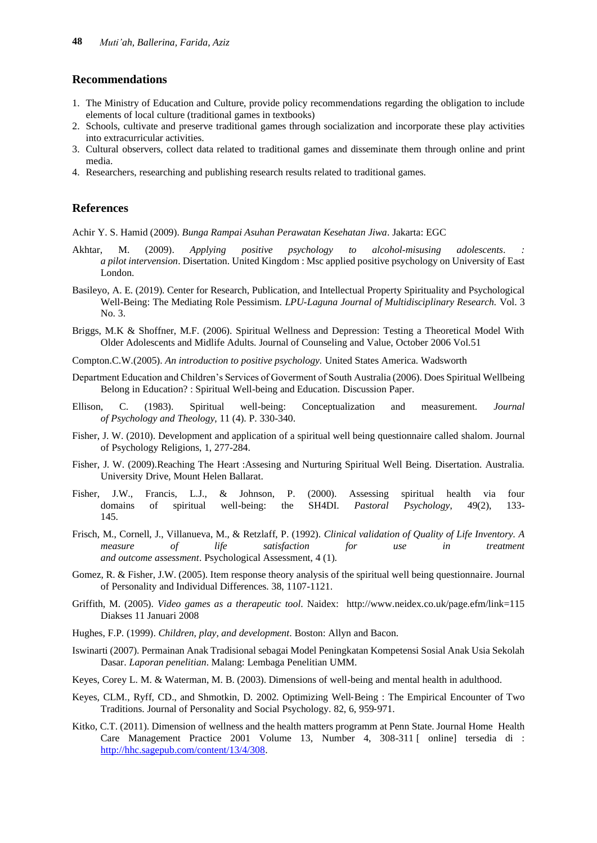#### **Recommendations**

- 1. The Ministry of Education and Culture, provide policy recommendations regarding the obligation to include elements of local culture (traditional games in textbooks)
- 2. Schools, cultivate and preserve traditional games through socialization and incorporate these play activities into extracurricular activities.
- 3. Cultural observers, collect data related to traditional games and disseminate them through online and print media.
- 4. Researchers, researching and publishing research results related to traditional games.

#### **References**

Achir Y. S. Hamid (2009). *Bunga Rampai Asuhan Perawatan Kesehatan Jiwa*. Jakarta: EGC

- Akhtar, M. (2009). *Applying positive psychology to alcohol-misusing adolescents*. *: a pilot intervension*. Disertation. United Kingdom : Msc applied positive psychology on University of East London.
- Basileyo, A. E. (2019). Center for Research, Publication, and Intellectual Property Spirituality and Psychological Well-Being: The Mediating Role Pessimism. *LPU-Laguna Journal of Multidisciplinary Research.* Vol. 3 No. 3.
- Briggs, M.K & Shoffner, M.F. (2006). Spiritual Wellness and Depression: Testing a Theoretical Model With Older Adolescents and Midlife Adults. Journal of Counseling and Value, October 2006 Vol.51
- Compton.C.W.(2005). *An introduction to positive psychology.* United States America. Wadsworth
- Department Education and Children's Services of Goverment of South Australia (2006). Does Spiritual Wellbeing Belong in Education? : Spiritual Well-being and Education. Discussion Paper.
- Ellison, C. (1983). Spiritual well-being: Conceptualization and measurement. *Journal of Psychology and Theology*, 11 (4). P. 330-340.
- Fisher, J. W. (2010). Development and application of a spiritual well being questionnaire called shalom. Journal of Psychology Religions, 1, 277-284.
- Fisher, J. W. (2009).Reaching The Heart :Assesing and Nurturing Spiritual Well Being. Disertation. Australia. University Drive, Mount Helen Ballarat.
- Fisher, J.W., Francis, L.J., & Johnson, P. (2000). Assessing spiritual health via four domains of spiritual well-being: the SH4DI. *Pastoral Psychology*, 49(2), 133- 145.
- Frisch, M., Cornell, J., Villanueva, M., & Retzlaff, P. (1992). *Clinical validation of Quality of Life Inventory. A measure of life satisfaction for use in treatment and outcome assessment*. Psychological Assessment, 4 (1).
- Gomez, R. & Fisher, J.W. (2005). Item response theory analysis of the spiritual well being questionnaire. Journal of Personality and Individual Differences. 38, 1107-1121.
- Griffith, M. (2005). *Video games as a therapeutic tool*. Naidex: http://www.neidex.co.uk/page.efm/link=115 Diakses 11 Januari 2008
- Hughes, F.P. (1999). *Children, play, and development*. Boston: Allyn and Bacon.
- Iswinarti (2007). Permainan Anak Tradisional sebagai Model Peningkatan Kompetensi Sosial Anak Usia Sekolah Dasar. *Laporan penelitian*. Malang: Lembaga Penelitian UMM.
- Keyes, Corey L. M. & Waterman, M. B. (2003). Dimensions of well-being and mental health in adulthood.
- Keyes, CLM., Ryff, CD., and Shmotkin, D. 2002. Optimizing Well-Being : The Empirical Encounter of Two Traditions. Journal of Personality and Social Psychology. 82, 6, 959‐971.
- Kitko, C.T. (2011). Dimension of wellness and the health matters programm at Penn State. Journal Home Health Care Management Practice 2001 Volume 13, Number 4, 308-311 [ online] tersedia di : [http://hhc.sagepub.com/content/13/4/308.](http://hhc.sagepub.com/content/13/4/308)